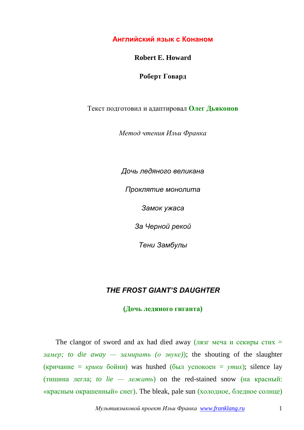# **Английский язык с Конаном**

#### **Robert E. Howard**

### **Роберт Говард**

Текст подготовил и адаптировал **Олег Дьяконов**

*Метод чтения Ильи Франка*

*Дочь ледяного великана*

*Проклятие монолита*

*Замок ужаса*

*За Черной рекой*

*Тени Замбулы*

### *THE FROST GIANT'S DAUGHTER*

#### **(Дочь ледяного гиганта)**

The clangor of sword and ax had died away  $($ лязг меча и секиры стих = *замер; to die away — замирать (о звуке)*); the shouting of the slaughter (кричание = *крики* бойни) was hushed (был успокоен =  $\gamma$ *mux*); silence lay (тишина легла; *to lie — лежать*) on the red-stained snow (на красный: «красным окрашенный» снег). The bleak, pale sun (холодное, бледное солнце)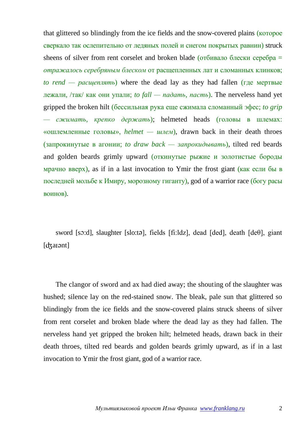that glittered so blindingly from the ice fields and the snow-covered plains (которое сверкало так ослепительно от ледяных полей и снегом покрытых равнин) struck sheens of silver from rent corselet and broken blade (отбивало блески серебра = *отражалось серебряным блеском* от расщепленных лат и сломанных клинков; *to rend — расщеплять*) where the dead lay as they had fallen (где мертвые лежали, /так/ как они упали; *to fall — падать, пасть*). The nerveless hand yet gripped the broken hilt (бессильная рука еще сжимала сломанный эфес; *to grip — сжимать, крепко держать*); helmeted heads (головы в шлемах: «ошлемленные головы», *helmet — шлем*), drawn back in their death throes (запрокинутые в агонии; *to draw back — запрокидывать*), tilted red beards and golden beards grimly upward (откинутые рыжие и золотистые бороды мрачно вверх), as if in a last invocation to Ymir the frost giant (как если бы в последней мольбе к Имиру, морозному гиганту), god of a warrior race (богу расы воинов).

sword [so:d], slaughter [slo:t a], fields [fi:ldz], dead [ded], death [de $\theta$ ], giant  $[d$  galent]

The clangor of sword and ax had died away; the shouting of the slaughter was hushed; silence lay on the red-stained snow. The bleak, pale sun that glittered so blindingly from the ice fields and the snow-covered plains struck sheens of silver from rent corselet and broken blade where the dead lay as they had fallen. The nerveless hand yet gripped the broken hilt; helmeted heads, drawn back in their death throes, tilted red beards and golden beards grimly upward, as if in a last invocation to Ymir the frost giant, god of a warrior race.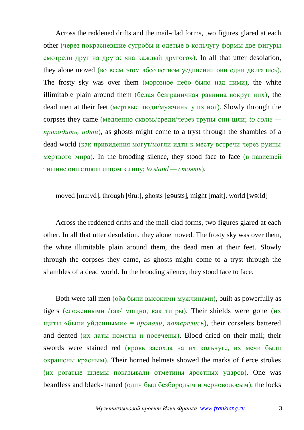Across the reddened drifts and the mail-clad forms, two figures glared at each other (через покрасневшие сугробы и одетые в кольчугу формы две фигуры смотрели друг на друга: «на каждый другого»). In all that utter desolation, they alone moved (во всем этом абсолютном уединении они одни двигались). The frosty sky was over them (морозное небо было над ними), the white illimitable plain around them (белая безграничная равнина вокруг них), the dead men at their feet (мертвые люди/мужчины у их ног). Slowly through the corpses they came (медленно сквозь/среди/через трупы они шли; *to come приходить, идти*), as ghosts might come to a tryst through the shambles of a dead world (как привидения могут/могли идти к месту встречи через руины мертвого мира). In the brooding silence, they stood face to face (в нависшей тишине они стояли лицом к лицу; *to stand — стоять*).

moved [mu:vd], through [θru:], ghosts [gausts], might [mait], world [wa:ld]

Across the reddened drifts and the mail-clad forms, two figures glared at each other. In all that utter desolation, they alone moved. The frosty sky was over them, the white illimitable plain around them, the dead men at their feet. Slowly through the corpses they came, as ghosts might come to a tryst through the shambles of a dead world. In the brooding silence, they stood face to face.

Both were tall men (оба были высокими мужчинами), built as powerfully as tigers (сложенными /так/ мощно, как тигры). Their shields were gone (их щиты «были уйденными» = *пропали, потерялись*), their corselets battered and dented (их латы помяты и посечены). Blood dried on their mail; their swords were stained red (кровь засохла на их кольчуге, их мечи были окрашены красным). Their horned helmets showed the marks of fierce strokes (их рогатые шлемы показывали отметины яростных ударов). One was beardless and black-maned (один был безбородым и черноволосым); the locks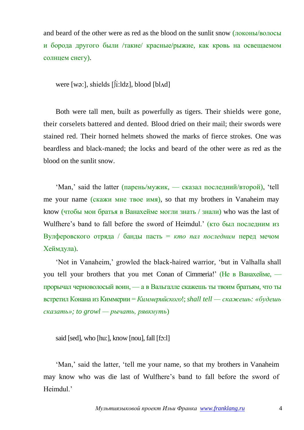and beard of the other were as red as the blood on the sunlit snow (локоны/волосы и борода другого были /такие/ красные/рыжие, как кровь на освещаемом солнцем снегу).

were  $[w\partial$ :], shields  $[j:ldz]$ , blood  $[b!Ad]$ 

Both were tall men, built as powerfully as tigers. Their shields were gone, their corselets battered and dented. Blood dried on their mail; their swords were stained red. Their horned helmets showed the marks of fierce strokes. One was beardless and black-maned; the locks and beard of the other were as red as the blood on the sunlit snow.

'Man,' said the latter (парень/мужик, — сказал последний/второй), 'tell me your name (скажи мне твое имя), so that my brothers in Vanaheim may know (чтобы мои братья в Ванахейме могли знать / знали) who was the last of Wulfhere's band to fall before the sword of Heimdul.' (кто был последним из Вулферовского отряда / банды пасть = *кто пал последним* перед мечом Хеймдула).

'Not in Vanaheim,' growled the black-haired warrior, 'but in Valhalla shall you tell your brothers that you met Conan of Cimmeria!' (Не в Ванахейме, прорычал черноволосый воин, — а в Вальгалле скажешь ты твоим братьям, что ты встретил Конана из Киммерии = *Киммерийского*!; *shall tell — скажешь: «будешь сказать»; to growl — рычать, рявкнуть*)

said [sed], who [hu:], know [nou], fall  $[f \circ : l]$ ]

'Man,' said the latter, 'tell me your name, so that my brothers in Vanaheim may know who was die last of Wulfhere's band to fall before the sword of Heimdul.'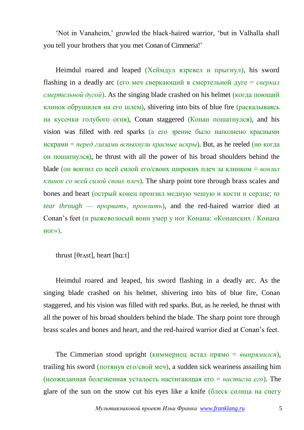'Not in Vanaheim,' growled the black-haired warrior, 'but in Valhalla shall you tell your brothers that you met Conan of Cimmeria!'

Heimdul roared and leaped (Хеймдул взревел и прыгнул), his sword flashing in a deadly arc (его меч сверкающий в смертельной дуге = *сверкал*  $\alpha$  *смертельной*  $\partial y$ *гой*). As the singing blade crashed on his helmet (когда поющий клинок обрушился на его шлем), shivering into bits of blue fire (раскалываясь на кусочки голубого огня), Conan staggered (Конан пошатнулся), and his vision was filled with red sparks (а его зрение было наполнено красными искрами = *перед глазами вспыхнули красные искры*). But, as he reeled (но когда он пошатнулся), he thrust with all the power of his broad shoulders behind the blade (он вонзил со всей силой его/своих широких плеч за клинком = *вонзил клинок со всей силой своих плеч*). The sharp point tore through brass scales and bones and heart (острый конец пронзил медную чешую и кости и сердце; *to tear through — прорвать, пронзить*), and the red-haired warrior died at Conan's feet (и рыжеволосый воин умер у ног Конана: «Конанских / Конана ног»).

thrust  $[*0* rAst]$ , heart  $[*ha*:*t*]$ 

Heimdul roared and leaped, his sword flashing in a deadly arc. As the singing blade crashed on his helmet, shivering into bits of blue fire, Conan staggered, and his vision was filled with red sparks. But, as he reeled, he thrust with all the power of his broad shoulders behind the blade. The sharp point tore through brass scales and bones and heart, and the red-haired warrior died at Conan's feet.

The Cimmerian stood upright (киммериец встал прямо = *выпрямился*), trailing his sword (потянув его/свой меч), a sudden sick weariness assailing him (неожиданная болезненная усталость настигающая его = *настигла его*). The glare of the sun on the snow cut his eyes like a knife (блеск солнца на снегу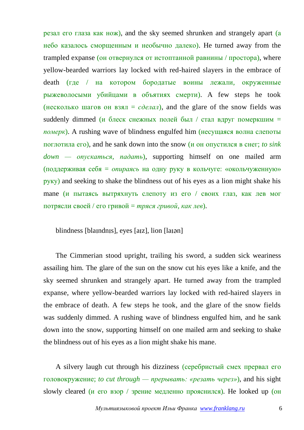резал его глаза как нож), and the sky seemed shrunken and strangely apart (а небо казалось сморщенным и необычно далеко). He turned away from the trampled expanse (он отвернулся от истоптанной равнины / простора), where yellow-bearded warriors lay locked with red-haired slayers in the embrace of death (где / на котором бородатые воины лежали, окруженные рыжеволосыми убийцами в объятиях смерти). A few steps he took (несколько шагов он взял = *сделал*), and the glare of the snow fields was suddenly dimmed (и блеск снежных полей был / стал вдруг померкшим = *померк*). A rushing wave of blindness engulfed him (несущаяся волна слепоты поглотила его), and he sank down into the snow (и он опустился в снег; *to sink down — опускаться, падать*), supporting himself on one mailed arm (поддерживая себя = *опираясь* на одну руку в кольчуге: «окольчуженную» руку) and seeking to shake the blindness out of his eyes as a lion might shake his mane (и пытаясь вытряхнуть слепоту из его / своих глаз, как лев мог потрясли своей / его гривой = *тряся гривой, как лев*).

blindness [bla ndn s], eyes [a Iz], lion [la I an]

The Cimmerian stood upright, trailing his sword, a sudden sick weariness assailing him. The glare of the sun on the snow cut his eyes like a knife, and the sky seemed shrunken and strangely apart. He turned away from the trampled expanse, where yellow-bearded warriors lay locked with red-haired slayers in the embrace of death. A few steps he took, and the glare of the snow fields was suddenly dimmed. A rushing wave of blindness engulfed him, and he sank down into the snow, supporting himself on one mailed arm and seeking to shake the blindness out of his eyes as a lion might shake his mane.

A silvery laugh cut through his dizziness (серебристый смех прервал его головокружение; *to cut through — прерывать: «резать через»*), and his sight slowly cleared (и его взор / зрение медленно прояснился). Не looked up (он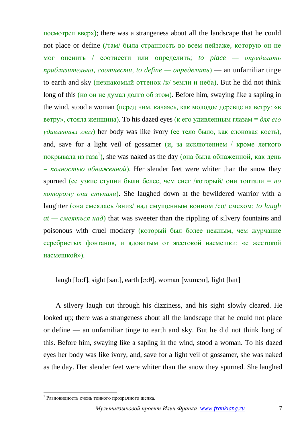посмотрел вверх); there was a strangeness about all the landscape that he could not place or define (/там/ была странность во всем пейзаже, которую он не мог оценить / соотнести или определить; *to place — определить приблизительно, соотнести, to define — определить*) — an unfamiliar tinge to earth and sky (незнакомый оттенок /к/ земли и неба). But he did not think long of this (но он не думал долго об этом). Before him, swaying like a sapling in the wind, stood a woman (перед ним, качаясь, как молодое деревце на ветру: «в ветру», стояла женщина). To his dazed eyes (к его удивленным глазам = *для его удивленных глаз*) her body was like ivory (ее тело было, как слоновая кость), and, save for a light veil of gossamer  $(\mu, \alpha)$  исключением / кроме легкого покрывала из газа<sup>1</sup>), she was naked as the day (она была обнаженной, как день  $=$  *полностью обнаженной*). Her slender feet were whiter than the snow they spurned (ее узкие ступни были белее, чем снег /который/ они топтали = *по которому они ступали*). She laughed down at the bewildered warrior with a laughter (она смеялась /вниз/ над смущенным воином /со/ смехом; *to laugh at — смеяться над*) that was sweeter than the rippling of silvery fountains and poisonous with cruel mockery (который был более нежным, чем журчание серебристых фонтанов, и ядовитым от жестокой насмешки: «с жестокой насмешкой»).

laugh  $[la: f]$ , sight [sait], earth  $[\theta: \theta]$ , woman [wuman], light [lait]

A silvery laugh cut through his dizziness, and his sight slowly cleared. He looked up; there was a strangeness about all the landscape that he could not place or define — an unfamiliar tinge to earth and sky. But he did not think long of this. Before him, swaying like a sapling in the wind, stood a woman. To his dazed eyes her body was like ivory, and, save for a light veil of gossamer, she was naked as the day. Her slender feet were whiter than the snow they spurned. She laughed

1

<sup>1</sup> Разновидность очень тонкого прозрачного шелка.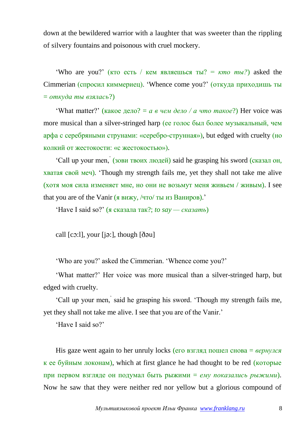down at the bewildered warrior with a laughter that was sweeter than the rippling of silvery fountains and poisonous with cruel mockery.

'Who are you?' (кто есть / кем являешься ты? =  $\kappa$ *mo mы?*) asked the Cimmerian (спросил киммериец). 'Whence come you?' (откуда приходишь ты = *откуда ты взялась*?)

'What matter?' (какое дело? = *а в чем дело / а что такое*?) Her voice was more musical than a silver-stringed harp (ее голос был более музыкальный, чем арфа с серебряными струнами: «серебро-струнная»), but edged with cruelty (но колкий от жестокости: «с жестокостью»).

'Call up your men,' (зови твоих людей) said he grasping his sword (сказал он, хватая свой меч). 'Though my strength fails me, yet they shall not take me alive (хотя моя сила изменяет мне, но они не возьмут меня живьем / живым). I see that you are of the Vanir (я вижу, /что/ ты из Ваниров).'

'Have I said so?' (я сказала так?; *to say — сказать*)

call  $[co:1]$ , your  $[i \in ]$ , though  $[\delta \ni \in ]$ 

'Who are you?' asked the Cimmerian. 'Whence come you?'

'What matter?' Her voice was more musical than a silver-stringed harp, but edged with cruelty.

'Call up your men,' said he grasping his sword. 'Though my strength fails me, yet they shall not take me alive. I see that you are of the Vanir.'

'Have I said so?'

His gaze went again to her unruly locks (его взгляд пошел снова = *вернулся* к ее буйным локонам), which at first glance he had thought to be red (которые при первом взгляде он подумал быть рыжими = *ему показались рыжими*). Now he saw that they were neither red nor yellow but a glorious compound of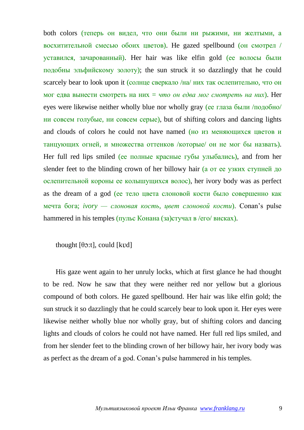both colors (теперь он видел, что они были ни рыжими, ни желтыми, а восхитительной смесью обоих цветов). He gazed spellbound (он смотрел / уставился, зачарованный). Her hair was like elfin gold (ее волосы были подобны эльфийскому золоту); the sun struck it so dazzlingly that he could scarcely bear to look upon it (солнце сверкало /на/ них так ослепительно, что он мог едва вынести смотреть на них = *что он едва мог смотреть на них*). Her eyes were likewise neither wholly blue nor wholly gray (ее глаза были /подобно/ ни совсем голубые, ни совсем серые), but of shifting colors and dancing lights and clouds of colors he could not have named (но из меняющихся цветов и танцующих огней, и множества оттенков /которые/ он не мог бы назвать). Her full red lips smiled (ее полные красные губы улыбались), and from her slender feet to the blinding crown of her billowy hair (а от ее узких ступней до ослепительной короны ее колышущихся волос), her ivory body was as perfect as the dream of a god (ее тело цвета слоновой кости было совершенно как мечта бога; *ivory — слоновая кость, цвет слоновой кости*). Conan's pulse hammered in his temples (пульс Конана (за)стучал в /его/ висках).

# thought  $[\theta \circ t]$ , could  $[k \circ d]$

His gaze went again to her unruly locks, which at first glance he had thought to be red. Now he saw that they were neither red nor yellow but a glorious compound of both colors. He gazed spellbound. Her hair was like elfin gold; the sun struck it so dazzlingly that he could scarcely bear to look upon it. Her eyes were likewise neither wholly blue nor wholly gray, but of shifting colors and dancing lights and clouds of colors he could not have named. Her full red lips smiled, and from her slender feet to the blinding crown of her billowy hair, her ivory body was as perfect as the dream of a god. Conan's pulse hammered in his temples.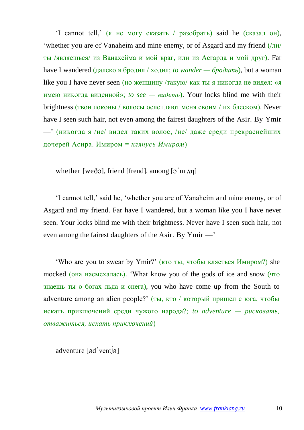'I cannot tell,' (я не могу сказать / разобрать) said he (сказал он), 'whether you are of Vanaheim and mine enemy, or of Asgard and my friend (/ли/ ты /являешься/ из Ванахейма и мой враг, или из Асгарда и мой друг). Far have I wandered (далеко я бродил / ходил; *to wander — бродить*), but a woman like you I have never seen (но женщину /такую/ как ты я никогда не видел: «я имею никогда виденной»; *to see — видеть*). Your locks blind me with their brightness (твои локоны / волосы ослепляют меня своим / их блеском). Never have I seen such hair, not even among the fairest daughters of the Asir. By Ymir —' (никогда я /не/ видел таких волос, /не/ даже среди прекраснейших дочерей Асира. Имиром = *клянусь Имиром*)

whether [we $\delta \vartheta$ ], friend [frend], among [ $\vartheta$ 'm  $\vartheta$ n]

'I cannot tell,' said he, 'whether you are of Vanaheim and mine enemy, or of Asgard and my friend. Far have I wandered, but a woman like you I have never seen. Your locks blind me with their brightness. Never have I seen such hair, not even among the fairest daughters of the Asir. By Ymir —'

'Who are you to swear by Ymir?' (кто ты, чтобы клясться Имиром?) she mocked (она насмехалась). 'What know you of the gods of ice and snow (что знаешь ты о богах льда и снега), you who have come up from the South to adventure among an alien people?' (ты, кто / который пришел с юга, чтобы искать приключений среди чужого народа?; *to adventure — рисковать, отважиться, искать приключений*)

adventure [əd'vent∫ə]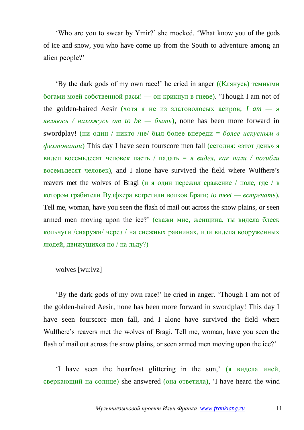'Who are you to swear by Ymir?' she mocked. 'What know you of the gods of ice and snow, you who have come up from the South to adventure among an alien people?'

'By the dark gods of my own race!' he cried in anger ((Клянусь) темными богами моей собственной расы! — он крикнул в гневе). 'Though I am not of the golden-haired Aesir (хотя я не из златоволосых асиров;  $I$  *am*  $\rightarrow$  *я являюсь / нахожусь от to be — быть*), none has been more forward in swordplay! (ни один / никто /не/ был более впереди = *более искусным в фехтовании*) This day I have seen fourscore men fall (сегодня: «этот день» я видел восемьдесят человек пасть / падать = *я видел, как пали / погибли* восемьдесят человек), and I alone have survived the field where Wulfhere's reavers met the wolves of Bragi (и я один пережил сражение / поле, где / в котором грабители Вулфхера встретили волков Браги; *to meet — встречать*). Tell me, woman, have you seen the flash of mail out across the snow plains, or seen armed men moving upon the ice?' (скажи мне, женщина, ты видела блеск кольчуги /снаружи/ через / на снежных равнинах, или видела вооруженных людей, движущихся по / на льду?)

wolves [wu:lvz]

'By the dark gods of my own race!' he cried in anger. 'Though I am not of the golden-haired Aesir, none has been more forward in swordplay! This day I have seen fourscore men fall, and I alone have survived the field where Wulfhere's reavers met the wolves of Bragi. Tell me, woman, have you seen the flash of mail out across the snow plains, or seen armed men moving upon the ice?'

'I have seen the hoarfrost glittering in the sun,' (я видела иней, сверкающий на солнце) she answered (она ответила), 'I have heard the wind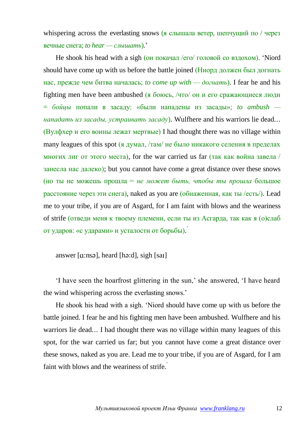whispering across the everlasting snows (я слышала ветер, шепчущий по / через вечные снега; *to hear — слышать*).'

He shook his head with a sigh (он покачал /его/ головой со вздохом). 'Niord should have come up with us before the battle joined (Ниорд должен был догнать нас, прежде чем битва началась; *to come up with — догнать*). I fear he and his fighting men have been ambushed (я боюсь, /что/ он и его сражающиеся люди = *бойцы* попали в засаду: «были нападены из засады»; *to ambush нападать из засады, устраивать засаду*). Wulfhere and his warriors lie dead... (Вулфхер и его воины лежат мертвые) I had thought there was no village within many leagues of this spot (я думал,  $\pi$ ам/ не было никакого селения в пределах многих лиг от этого места), for the war carried us far (так как война завела / занесла нас далеко); but you cannot have come a great distance over these snows (но ты не можешь прошла = *не может быть, чтобы ты прошла* большое расстояние через эти снега), naked as you are (обнаженная, как ты /есть/). Lead me to your tribe, if you are of Asgard, for I am faint with blows and the weariness of strife (отведи меня к твоему племени, если ты из Асгарда, так как я (о)слаб от ударов: «с ударами» и усталости от борьбы). '

answer  $[a:ns9]$ , heard  $[ha:d]$ , sigh  $[sai]$ 

'I have seen the hoarfrost glittering in the sun,' she answered, 'I have heard the wind whispering across the everlasting snows.'

He shook his head with a sigh. 'Niord should have come up with us before the battle joined. I fear he and his fighting men have been ambushed. Wulfhere and his warriors lie dead... I had thought there was no village within many leagues of this spot, for the war carried us far; but you cannot have come a great distance over these snows, naked as you are. Lead me to your tribe, if you are of Asgard, for I am faint with blows and the weariness of strife.'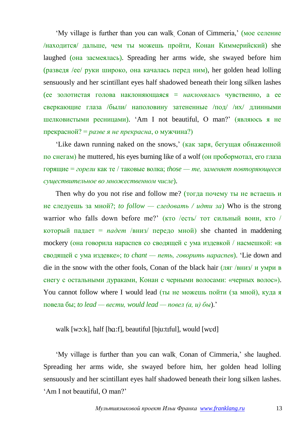'My village is further than you can walk, Conan of Cimmeria,' (мое селение /находится/ дальше, чем ты можешь пройти, Конан Киммерийский) she laughed (она засмеялась). Spreading her arms wide, she swayed before him (разведя /ее/ руки широко, она качалась перед ним), her golden head lolling sensuously and her scintillant eyes half shadowed beneath their long silken lashes (ее золотистая голова наклоняющаяся = *наклонялась* чувственно, а ее сверкающие глаза /были/ наполовину затененные /под/ /их/ длинными шелковистыми ресницами). 'Am I not beautiful, О man?' (являюсь я не прекрасной? = *разве я не прекрасна*, о мужчина?)

'Like dawn running naked on the snows,' (как заря, бегущая обнаженной по снегам) he muttered, his eyes burning like of a wolf (он пробормотал, его глаза горящие = *горели* как те / таковые волка; *those — те, заменяет повторяющееся существительное во множественном числе*).

Then why do you not rise and follow me? (тогда почему ты не встаешь и не следуешь за мной?; *to follow — следовать / идти за*) Who is the strong warrior who falls down before me?' (кто /есть/ тот сильный воин, кто / который падает = *падет* /вниз/ передо мной) she chanted in maddening mockery (она говорила нараспев со сводящей с ума издевкой / насмешкой: «в сводящей с ума издевке»; *to chant — петь, говорить нараспев*). 'Lie down and die in the snow with the other fools, Conan of the black hair  $(\overline{\text{IMT}} / \text{BHI}) / \overline{\text{H}}$   $\overline{\text{M}}$   $\overline{\text{M}}$   $\overline{\text{M}}$   $\overline{\text{M}}$ снегу с остальными дураками, Конан с черными волосами: «черных волос»). You cannot follow where I would lead (ты не можешь пойти (за мной), куда я повела бы; *to lead — вести, would lead — повел (а, и) бы*).'

walk  $[w \circ k]$ , half  $[h \circ f]$ , beautiful  $[b]$ ju:tiful], would  $[w \circ d]$ 

'My village is further than you can walk, Conan of Cimmeria,' she laughed. Spreading her arms wide, she swayed before him, her golden head lolling sensuously and her scintillant eyes half shadowed beneath their long silken lashes. 'Am I not beautiful, О man?'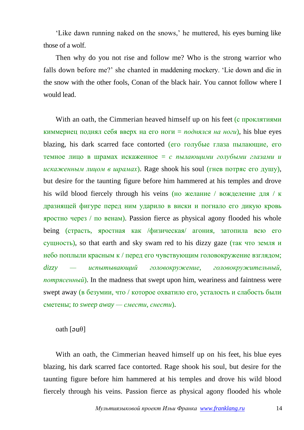'Like dawn running naked on the snows,' he muttered, his eyes burning like those of a wolf.

Then why do you not rise and follow me? Who is the strong warrior who falls down before me?' she chanted in maddening mockery. 'Lie down and die in the snow with the other fools, Conan of the black hair. You cannot follow where I would lead.

With an oath, the Cimmerian heaved himself up on his feet (с проклятиями киммериец поднял себя вверх на его ноги = *поднялся на ноги*), his blue eyes blazing, his dark scarred face contorted (его голубые глаза пылающие, его темное лицо в шрамах искаженное = *с пылающими голубыми глазами и искаженным лицом в шрамах*). Rage shook his soul (гнев потряс его душу), but desire for the taunting figure before him hammered at his temples and drove his wild blood fiercely through his veins (но желание / вожделение для / к дразнящей фигуре перед ним ударило в виски и погнало его дикую кровь яростно через / по венам). Passion fierce as physical agony flooded his whole being (страсть, яростная как /физическая/ агония, затопила всю его сущность), so that earth and sky swam red to his dizzy gaze (так что земля и небо поплыли красным к / перед его чувствующим головокружение взглядом; *dizzy — испытывающий головокружение, головокружительный, потрясенный*). In the madness that swept upon him, weariness and faintness were swept away (в безумии, что / которое охватило его, усталость и слабость были сметены; *to sweep away — смести, снести*).

oath  $[$  au $θ$ ]

With an oath, the Cimmerian heaved himself up on his feet, his blue eyes blazing, his dark scarred face contorted. Rage shook his soul, but desire for the taunting figure before him hammered at his temples and drove his wild blood fiercely through his veins. Passion fierce as physical agony flooded his whole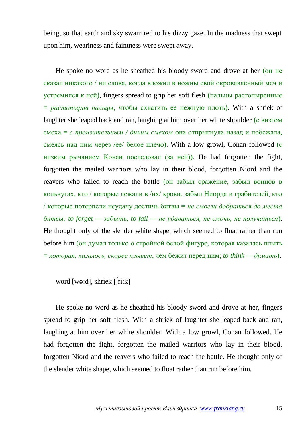being, so that earth and sky swam red to his dizzy gaze. In the madness that swept upon him, weariness and faintness were swept away.

He spoke no word as he sheathed his bloody sword and drove at her (он не сказал никакого / ни слова, когда вложил в ножны свой окровавленный меч и устремился к ней), fingers spread to grip her soft flesh (пальцы растопыренные = *растопырив пальцы*, чтобы схватить ее нежную плоть). With a shriek of laughter she leaped back and ran, laughing at him over her white shoulder (с визгом смеха = *с пронзительным / диким смехом* она отпрыгнула назад и побежала, смеясь над ним через /ее/ белое плечо). With a low growl, Conan followed (с низким рычанием Конан последовал (за ней)). He had forgotten the fight, forgotten the mailed warriors who lay in their blood, forgotten Niord and the reavers who failed to reach the battle (он забыл сражение, забыл воинов в кольчугах, кто / которые лежали в /их/ крови, забыл Ниорда и грабителей, кто / которые потерпели неудачу достичь битвы = *не смогли добраться до места битвы; to forget — забыть, to fail — не удаваться, не смочь, не получаться*). He thought only of the slender white shape, which seemed to float rather than run before him (он думал только о стройной белой фигуре, которая казалась плыть = *которая, казалось, скорее плывет*, чем бежит перед ним; *to think — думать*).

word [wə:d], shriek  $[fr: k]$ 

He spoke no word as he sheathed his bloody sword and drove at her, fingers spread to grip her soft flesh. With a shriek of laughter she leaped back and ran, laughing at him over her white shoulder. With a low growl, Conan followed. He had forgotten the fight, forgotten the mailed warriors who lay in their blood, forgotten Niord and the reavers who failed to reach the battle. He thought only of the slender white shape, which seemed to float rather than run before him.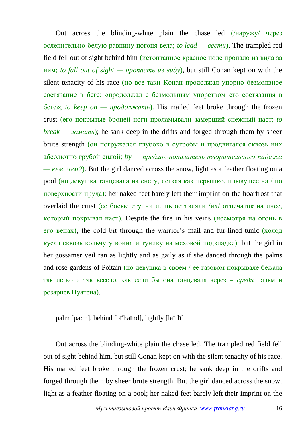Out across the blinding-white plain the chase led (/наружу/ через ослепительно-белую равнину погоня вела; *to lead — вести*). The trampled red field fell out of sight behind him (истоптанное красное поле пропало из вида за ним; *to fall out of sight — пропасть из виду*), but still Conan kept on with the silent tenacity of his race (но все-таки Конан продолжал упорно безмолвное состязание в беге: «продолжал с безмолвным упорством его состязания в беге»; *to keep on — продолжать*). His mailed feet broke through the frozen crust (его покрытые броней ноги проламывали замерший снежный наст; *to break — ломать*); he sank deep in the drifts and forged through them by sheer brute strength (он погружался глубоко в сугробы и продвигался сквозь них абсолютно грубой силой; *by — предлог-показатель творительного падежа — кем, чем?*). But the girl danced across the snow, light as a feather floating on a pool (но девушка танцевала на снегу, легкая как перышко, плывущее на / по поверхности пруда); her naked feet barely left their imprint on the hoarfrost that overlaid the crust (ее босые ступни лишь оставляли /их/ отпечаток на инее, который покрывал наст). Despite the fire in his veins (несмотря на огонь в его венах), the cold bit through the warrior's mail and fur-lined tunic (холод кусал сквозь кольчугу воина и тунику на меховой подкладке); but the girl in her gossamer veil ran as lightly and as gaily as if she danced through the palms and rose gardens of Poitain (но девушка в своем / ее газовом покрывале бежала так легко и так весело, как если бы она танцевала через = *среди* пальм и розариев Пуатена).

palm  $[pa:m]$ , behind  $[bi'hand]$ , lightly  $[la II]$ 

Out across the blinding-white plain the chase led. The trampled red field fell out of sight behind him, but still Conan kept on with the silent tenacity of his race. His mailed feet broke through the frozen crust; he sank deep in the drifts and forged through them by sheer brute strength. But the girl danced across the snow, light as a feather floating on a pool; her naked feet barely left their imprint on the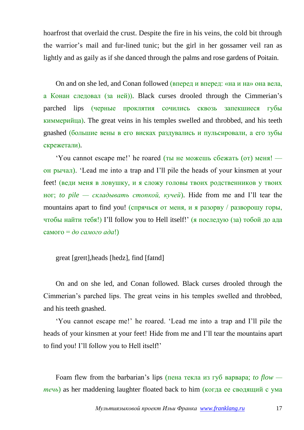hoarfrost that overlaid the crust. Despite the fire in his veins, the cold bit through the warrior's mail and fur-lined tunic; but the girl in her gossamer veil ran as lightly and as gaily as if she danced through the palms and rose gardens of Poitain.

On and on she led, and Conan followed (вперед и вперед: «на и на» она вела, а Конан следовал (за ней)). Black curses drooled through the Cimmerian's parched lips (черные проклятия сочились сквозь запекшиеся губы киммерийца). The great veins in his temples swelled and throbbed, and his teeth gnashed (большие вены в его висках раздувались и пульсировали, а его зубы скрежетали).

'You cannot escape me!' he roared (ты не можешь сбежать (от) меня! он рычал). 'Lead me into a trap and I'll pile the heads of your kinsmen at your feet! (веди меня в ловушку, и я сложу головы твоих родственников у твоих ног; *to pile* — *складывать стопкой, кучей*). Hide from me and I'll tear the mountains apart to find you! (спрячься от меня, и я разорву / разворошу горы, чтобы найти тебя!) I'll follow you to Hell itself!' (я последую (за) тобой до ада самого = *до самого ада*!)

great [greit], heads [hedz], find [faind]

On and on she led, and Conan followed. Black curses drooled through the Cimmerian's parched lips. The great veins in his temples swelled and throbbed, and his teeth gnashed.

'You cannot escape me!' he roared. 'Lead me into a trap and I'll pile the heads of your kinsmen at your feet! Hide from me and I'll tear the mountains apart to find you! I'll follow you to Hell itself!'

Foam flew from the barbarian's lips (пена текла из губ варвара; *to flow течь*) as her maddening laughter floated back to him (когда ее сводящий с ума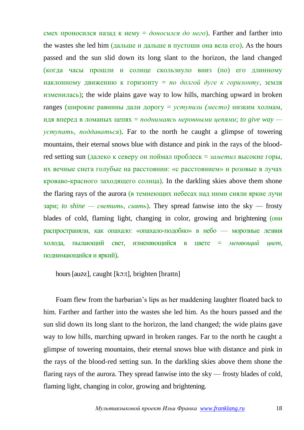смех проносился назад к нему = *доносился до него*). Farther and farther into the wastes she led him (дальше и дальше в пустоши она вела его). As the hours passed and the sun slid down its long slant to the horizon, the land changed (когда часы прошли и солнце скользнуло вниз (по) его длинному наклонному движению к горизонту = *по долгой дуге к горизонту*, земля изменилась); the wide plains gave way to low hills, marching upward in broken ranges (широкие равнины дали дорогу = *уступили (место)* низким холмам, идя вперед в ломаных цепях = *поднимаясь неровными цепями*; *to give way уступать, поддаваться*). Far to the north he caught a glimpse of towering mountains, their eternal snows blue with distance and pink in the rays of the bloodred setting sun (далеко к северу он поймал проблеск = *заметил* высокие горы, их вечные снега голубые на расстоянии: «с расстоянием» и розовые в лучах кроваво-красного заходящего солнца). In the darkling skies above them shone the flaring rays of the aurora (в темнеющих небесах над ними сияли яркие лучи зари; *to shine — светить, сиять*). They spread fanwise into the sky — frosty blades of cold, flaming light, changing in color, growing and brightening (они распространяли, как опахало: «опахало-подобно» в небо — морозные лезвия холода, пылающий свет, изменяющийся в цвете = *меняющий цвет*, поднимающийся и яркий).

hours [au $\varphi$ z], caught [k $\varphi$ :t], brighten [braitn]

Foam flew from the barbarian's lips as her maddening laughter floated back to him. Farther and farther into the wastes she led him. As the hours passed and the sun slid down its long slant to the horizon, the land changed; the wide plains gave way to low hills, marching upward in broken ranges. Far to the north he caught a glimpse of towering mountains, their eternal snows blue with distance and pink in the rays of the blood-red setting sun. In the darkling skies above them shone the flaring rays of the aurora. They spread fanwise into the sky — frosty blades of cold, flaming light, changing in color, growing and brightening.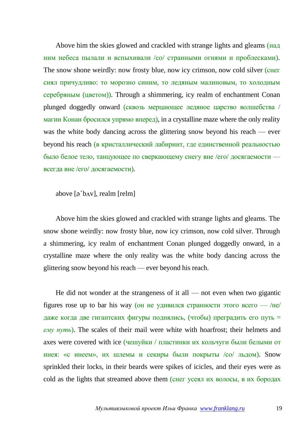Above him the skies glowed and crackled with strange lights and gleams (над ним небеса пылали и вспыхивали /со/ странными огнями и проблесками). The snow shone weirdly: now frosty blue, now icy crimson, now cold silver (снег сиял причудливо: то морозно синим, то ледяным малиновым, то холодным серебряным (цветом)). Through a shimmering, icy realm of enchantment Conan plunged doggedly onward (сквозь мерцающее ледяное царство волшебства / магии Конан бросился упрямо вперед), in a crystalline maze where the only reality was the white body dancing across the glittering snow beyond his reach — ever beyond his reach (в кристаллический лабиринт, где единственной реальностью было белое тело, танцующее по сверкающему снегу вне /его/ досягаемости всегда вне /его/ досягаемости).

above  $\lceil \theta'$ b $\Delta v \rceil$ , realm  $\lceil \text{relm} \rceil$ 

Above him the skies glowed and crackled with strange lights and gleams. The snow shone weirdly: now frosty blue, now icy crimson, now cold silver. Through a shimmering, icy realm of enchantment Conan plunged doggedly onward, in a crystalline maze where the only reality was the white body dancing across the glittering snow beyond his reach — ever beyond his reach.

He did not wonder at the strangeness of it all — not even when two gigantic figures rose up to bar his way (он не удивился странности этого всего  $-$  /не/ даже когда две гигантских фигуры поднялись, (чтобы) преградить его путь = *ему путь*). The scales of their mail were white with hoarfrost; their helmets and axes were covered with ice (чешуйки / пластинки их кольчуги были белыми от инея: «с инеем», их шлемы и секиры были покрыты /со/ льдом). Snow sprinkled their locks, in their beards were spikes of icicles, and their eyes were as cold as the lights that streamed above them (снег усеял их волосы, в их бородах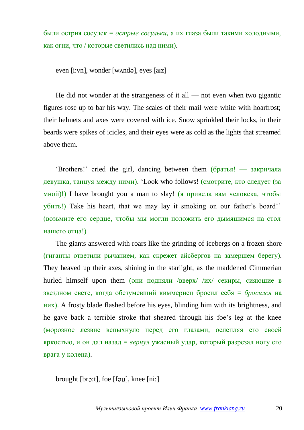были острия сосулек = *острые сосульки*, а их глаза были такими холодными, как огни, что / которые светились над ними).

even  $[i:vn]$ , wonder  $[w \land nda]$ , eyes  $[az]$ 

He did not wonder at the strangeness of it all — not even when two gigantic figures rose up to bar his way. The scales of their mail were white with hoarfrost; their helmets and axes were covered with ice. Snow sprinkled their locks, in their beards were spikes of icicles, and their eyes were as cold as the lights that streamed above them.

'Brothers!' cried the girl, dancing between them (братья! — закричала девушка, танцуя между ними). 'Look who follows! (смотрите, кто следует (за мной)!) I have brought you a man to slay! (я привела вам человека, чтобы убить!) Take his heart, that we may lay it smoking on our father's board!' (возьмите его сердце, чтобы мы могли положить его дымящимся на стол нашего отца!)

The giants answered with roars like the grinding of icebergs on a frozen shore (гиганты ответили рычанием, как скрежет айсбергов на замершем берегу). They heaved up their axes, shining in the starlight, as the maddened Cimmerian hurled himself upon them (они подняли /вверх/ /их/ секиры, сияющие в звездном свете, когда обезумевший киммериец бросил себя = *бросился* на них). A frosty blade flashed before his eyes, blinding him with its brightness, and he gave back a terrible stroke that sheared through his foe's leg at the knee (морозное лезвие вспыхнуло перед его глазами, ослепляя его своей яркостью, и он дал назад = *вернул* ужасный удар, который разрезал ногу его врага у колена).

brought [bro:t], foe [f $\partial u$ ], knee [ni:]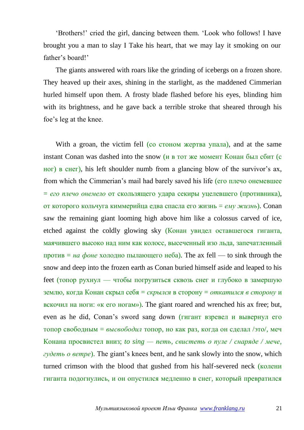'Brothers!' cried the girl, dancing between them. 'Look who follows! I have brought you a man to slay I Take his heart, that we may lay it smoking on our father's board!'

The giants answered with roars like the grinding of icebergs on a frozen shore. They heaved up their axes, shining in the starlight, as the maddened Cimmerian hurled himself upon them. A frosty blade flashed before his eyes, blinding him with its brightness, and he gave back a terrible stroke that sheared through his foe's leg at the knee.

With a groan, the victim fell (со стоном жертва упала), and at the same instant Conan was dashed into the snow (и в тот же момент Конан был сбит (с ног) в снег), his left shoulder numb from a glancing blow of the survivor's ax, from which the Cimmerian's mail had barely saved his life (его плечо онемевшее = *его плечо онемело* от скользящего удара секиры уцелевшего (противника), от которого кольчуга киммерийца едва спасла его жизнь = *ему жизнь*). Conan saw the remaining giant looming high above him like a colossus carved of ice, etched against the coldly glowing sky (Конан увидел оставшегося гиганта, маячившего высоко над ним как колосс, высеченный изо льда, запечатленный против = *на фоне* холодно пылающего неба). The ax fell — to sink through the snow and deep into the frozen earth as Conan buried himself aside and leaped to his feet (топор рухнул — чтобы погрузиться сквозь снег и глубоко в замершую землю, когда Конан скрыл себя = *скрылся* в сторону = *откатился в сторону* и вскочил на ноги: «к его ногам»). The giant roared and wrenched his ax free; but, even as he did, Conan's sword sang down (гигант взревел и вывернул его топор свободным = *высвободил* топор, но как раз, когда он сделал /это/, меч Конана просвистел вниз; *to sing — петь, свистеть о пуле / снаряде / мече, гудеть о ветре*). The giant's knees bent, and he sank slowly into the snow, which turned crimson with the blood that gushed from his half-severed neck (колени гиганта подогнулись, и он опустился медленно в снег, который превратился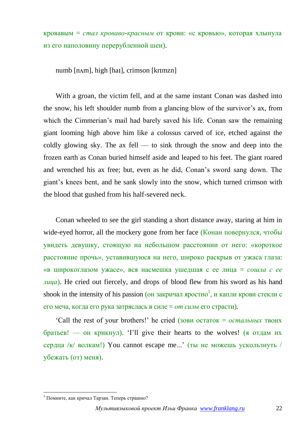кровавым = *стал кроваво-красным* от крови: «с кровью», которая хлынула из его наполовину перерубленной шеи).

numb  $[n\Delta m]$ , high  $[ha]$ , crimson  $[krImzn]$ 

With a groan, the victim fell, and at the same instant Conan was dashed into the snow, his left shoulder numb from a glancing blow of the survivor's ax, from which the Cimmerian's mail had barely saved his life. Conan saw the remaining giant looming high above him like a colossus carved of ice, etched against the coldly glowing sky. The ax fell — to sink through the snow and deep into the frozen earth as Conan buried himself aside and leaped to his feet. The giant roared and wrenched his ax free; but, even as he did, Conan's sword sang down. The giant's knees bent, and he sank slowly into the snow, which turned crimson with the blood that gushed from his half-severed neck.

Conan wheeled to see the girl standing a short distance away, staring at him in wide-eyed horror, all the mockery gone from her face (Конан повернулся, чтобы увидеть девушку, стоящую на небольшом расстоянии от него: «короткое расстояние прочь», уставившуюся на него, широко раскрыв от ужаса глаза: «в широкоглазом ужасе», вся насмешка ушедшая с ее лица = *сошла с ее лица*). He cried out fiercely, and drops of blood flew from his sword as his hand shook in the intensity of his passion (он закричал яростно<sup>1</sup>, и капли крови стекли с его меча, когда его рука затряслась в силе = *от силы* его страсти).

'Call the rest of your brothers!' he cried (зови остаток = *остальных* твоих братьев! — он крикнул). T'll give their hearts to the wolves! (я отдам их сердца /к/ волкам!) You cannot escape me...' (ты не можешь ускользнуть / убежать (от) меня).

1

 $1$  Помните, как кричал Тарзан. Теперь страшно?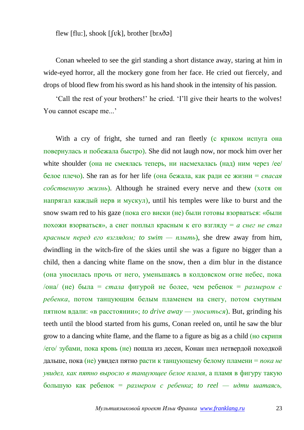flew [flu:], shook  $\lceil \nu k \rceil$ , brother  $\lceil \nu k \rceil$ 

Conan wheeled to see the girl standing a short distance away, staring at him in wide-eyed horror, all the mockery gone from her face. He cried out fiercely, and drops of blood flew from his sword as his hand shook in the intensity of his passion.

'Call the rest of your brothers!' he cried. 'I'll give their hearts to the wolves! You cannot escape me...'

With a cry of fright, she turned and ran fleetly (с криком испуга она повернулась и побежала быстро). She did not laugh now, nor mock him over her white shoulder (она не смеялась теперь, ни насмехалась (над) ним через /ее/ белое плечо). She ran as for her life (она бежала, как ради ее жизни = *спасая собственную жизнь*). Although he strained every nerve and thew (хотя он напрягал каждый нерв и мускул), until his temples were like to burst and the snow swam red to his gaze (пока его виски (не) были готовы взорваться: «были похожи взорваться», а снег поплыл красным к его взгляду = *а снег не стал красным перед его взглядом; to swim — плыть*), she drew away from him, dwindling in the witch-fire of the skies until she was a figure no bigger than a child, then a dancing white flame on the snow, then a dim blur in the distance (она уносилась прочь от него, уменьшаясь в колдовском огне небес, пока /она/ (не) была = *стала* фигурой не более, чем ребенок = *размером с ребенка*, потом танцующим белым пламенем на снегу, потом смутным пятном вдали: «в расстоянии»; *to drive away — уноситься*). But, grinding his teeth until the blood started from his gums, Conan reeled on, until he saw the blur grow to a dancing white flame, and the flame to a figure as big as a child (но скрипя /его/ зубами, пока кровь (не) пошла из десен, Конан шел нетвердой походкой дальше, пока (не) увидел пятно расти к танцующему белому пламени = *пока не увидел, как пятно выросло в танцующее белое пламя*, а пламя в фигуру такую большую как ребенок = *размером с ребенка*; *to reel — идти шатаясь,*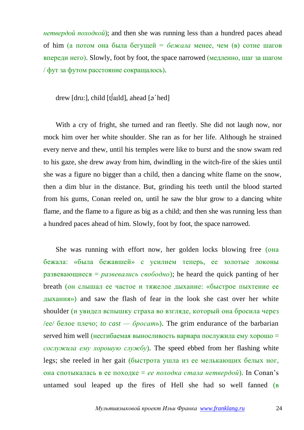*нетвердой походкой*); and then she was running less than a hundred paces ahead of him (а потом она была бегущей = *бежала* менее, чем (в) сотне шагов впереди него). Slowly, foot by foot, the space narrowed (медленно, шаг за шагом / фут за футом расстояние сокращалось).

drew [dru:], child [t∫aıld], ahead [ə'hed]

With a cry of fright, she turned and ran fleetly. She did not laugh now, nor mock him over her white shoulder. She ran as for her life. Although he strained every nerve and thew, until his temples were like to burst and the snow swam red to his gaze, she drew away from him, dwindling in the witch-fire of the skies until she was a figure no bigger than a child, then a dancing white flame on the snow, then a dim blur in the distance. But, grinding his teeth until the blood started from his gums, Conan reeled on, until he saw the blur grow to a dancing white flame, and the flame to a figure as big as a child; and then she was running less than a hundred paces ahead of him. Slowly, foot by foot, the space narrowed.

She was running with effort now, her golden locks blowing free (она бежала: «была бежавшей» с усилием теперь, ее золотые локоны развевающиеся = *развевались свободно*); he heard the quick panting of her breath (он слышал ее частое и тяжелое дыхание: «быстрое пыхтение ее дыхания») and saw the flash of fear in the look she cast over her white shoulder (и увидел вспышку страха во взгляде, который она бросила через /ее/ белое плечо; *to cast — бросать*). The grim endurance of the barbarian served him well (несгибаемая выносливость варвара послужила ему хорошо = *сослужила ему хорошую службу*). The speed ebbed from her flashing white legs; she reeled in her gait (быстрота ушла из ее мелькающих белых ног, она спотыкалась в ее походке = *ее походка стала нетвердой*). In Conan's untamed soul leaped up the fires of Hell she had so well fanned (в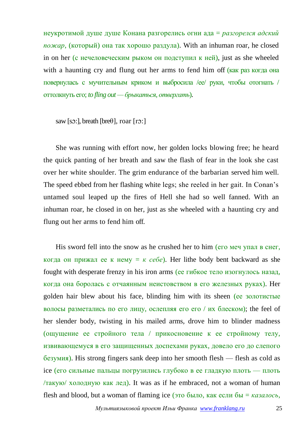неукротимой душе душе Конана разгорелись огни ада = *разгорелся адский пожар*, (который) она так хорошо раздула). With an inhuman roar, he closed in on her (с нечеловеческим рыком он подступил к ней), just as she wheeled with a haunting cry and flung out her arms to fend him off (как раз когда она повернулась с мучительным криком и выбросила /ее/ руки, чтобы отогнать / оттолкнуть его; *to fling out — брыкаться, отвергать*).

saw [so:], breath [bre $\theta$ ], roar [ro:]

She was running with effort now, her golden locks blowing free; he heard the quick panting of her breath and saw the flash of fear in the look she cast over her white shoulder. The grim endurance of the barbarian served him well. The speed ebbed from her flashing white legs; she reeled in her gait. In Conan's untamed soul leaped up the fires of Hell she had so well fanned. With an inhuman roar, he closed in on her, just as she wheeled with a haunting cry and flung out her arms to fend him off.

His sword fell into the snow as he crushed her to him (его меч упал в снег, когда он прижал ее к нему = *к себе*). Her lithe body bent backward as she fought with desperate frenzy in his iron arms (ее гибкое тело изогнулось назад, когда она боролась с отчаянным неистовством в его железных руках). Her golden hair blew about his face, blinding him with its sheen (ее золотистые волосы разметались по его лицу, ослепляя его его / их блеском); the feel of her slender body, twisting in his mailed arms, drove him to blinder madness (ощущение ее стройного тела / прикосновение к ее стройному телу, извивающемуся в его защищенных доспехами руках, довело его до слепого безумия). His strong fingers sank deep into her smooth flesh — flesh as cold as ice (его сильные пальцы погрузились глубоко в ее гладкую плоть — плоть /такую/ холодную как лед). It was as if he embraced, not a woman of human flesh and blood, but a woman of flaming ice (это было, как если бы = *казалось*,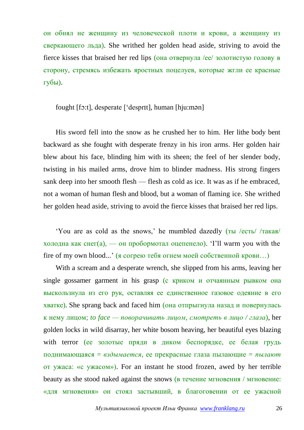он обнял не женщину из человеческой плоти и крови, а женщину из сверкающего льда). She writhed her golden head aside, striving to avoid the fierce kisses that braised her red lips (она отвернула /ее/ золотистую голову в сторону, стремясь избежать яростных поцелуев, которые жгли ее красные губы).

# fought  $[*f*:*t*],$  desperate  $[*'*$  desprit $],$  human  $[h]$

His sword fell into the snow as he crushed her to him. Her lithe body bent backward as she fought with desperate frenzy in his iron arms. Her golden hair blew about his face, blinding him with its sheen; the feel of her slender body, twisting in his mailed arms, drove him to blinder madness. His strong fingers sank deep into her smooth flesh — flesh as cold as ice. It was as if he embraced, not a woman of human flesh and blood, but a woman of flaming ice. She writhed her golden head aside, striving to avoid the fierce kisses that braised her red lips.

'You are as cold as the snows,' he mumbled dazedly (ты /есть/ /такая/ холодна как снег $(a)$ , — он пробормотал оцепенело). T'll warm you with the fire of my own blood...' (я согрею тебя огнем моей собственной крови...)

With a scream and a desperate wrench, she slipped from his arms, leaving her single gossamer garment in his grasp (с криком и отчаянным рывком она выскользнула из его рук, оставляя ее единственное газовое одеяние в его хватке). She sprang back and faced him (она отпрыгнула назад и повернулась к нему лицом; *to face — поворачивать лицом, смотреть в лицо / глаза*), her golden locks in wild disarray, her white bosom heaving, her beautiful eyes blazing with terror (ее золотые пряди в диком беспорядке, ее белая грудь поднимающаяся = *вздымается*, ее прекрасные глаза пылающие = *пылают* от ужаса: «с ужасом»). For an instant he stood frozen, awed by her terrible beauty as she stood naked against the snows (в течение мгновения / мгновение: «для мгновения» он стоял застывший, в благоговении от ее ужасной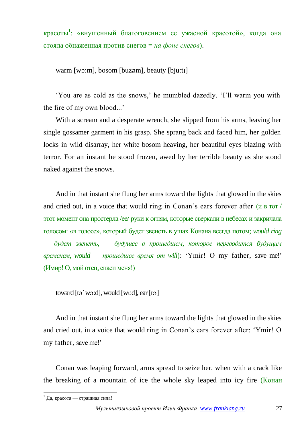красоты<sup>1</sup>: «внушенный благоговением ее ужасной красотой», когда она стояла обнаженная против снегов = *на фоне снегов*).

warm [wo:m], bosom [buzəm], beauty [bju:tɪ]

'You are as cold as the snows,' he mumbled dazedly. 'I'll warm you with the fire of my own blood...'

With a scream and a desperate wrench, she slipped from his arms, leaving her single gossamer garment in his grasp. She sprang back and faced him, her golden locks in wild disarray, her white bosom heaving, her beautiful eyes blazing with terror. For an instant he stood frozen, awed by her terrible beauty as she stood naked against the snows.

And in that instant she flung her arms toward the lights that glowed in the skies and cried out, in a voice that would ring in Conan's ears forever after (и в тот / этот момент она простерла /ее/ руки к огням, которые сверкали в небесах и закричала голосом: «в голосе», который будет звенеть в ушах Конана всегда потом; *would ring — будет звенеть, — будущее в прошедшем, которое переводится будущим временем, would — прошедшее время от will*): 'Ymir! О my father, save me!' (Имир! О, мой отец, спаси меня!)

toward  $[t\sigma'$  wo:d], would  $[wvd]$ , ear  $[i\sigma]$ 

And in that instant she flung her arms toward the lights that glowed in the skies and cried out, in a voice that would ring in Conan's ears forever after: 'Ymir! О my father, save me!'

Conan was leaping forward, arms spread to seize her, when with a crack like the breaking of a mountain of ice the whole sky leaped into icy fire (Конан

1

 $^{1}$  Да, красота — страшная сила!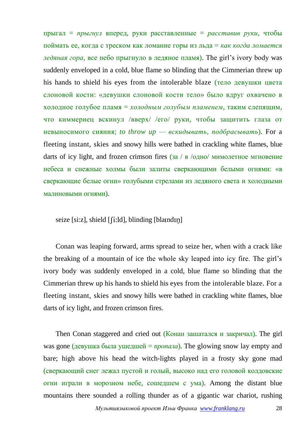прыгал = *прыгнул* вперед, руки расставленные = *расставив руки*, чтобы поймать ее, когда с треском как ломание горы из льда = *как когда ломается ледяная гора*, все небо прыгнуло в ледяное пламя). The girl's ivory body was suddenly enveloped in a cold, blue flame so blinding that the Cimmerian threw up his hands to shield his eyes from the intolerable blaze (тело девушки цвета слоновой кости: «девушки слоновой кости тело» было вдруг охвачено в холодное голубое пламя = *холодным голубым пламенем*, таким слепящим, что киммериец вскинул /вверх/ /его/ руки, чтобы защитить глаза от невыносимого сияния; *to throw up — вскидывать, подбрасывать*). For a fleeting instant, skies and snowy hills were bathed in crackling white flames, blue darts of icy light, and frozen crimson fires (за / в /одно/ мимолетное мгновение небеса и снежные холмы были залиты сверкающими белыми огнями: «в сверкающие белые огни» голубыми стрелами из ледяного света и холодными малиновыми огнями).

seize [si:z], shield [ $\left[$ i:ld], blinding [blaind  $\left[$ 

Conan was leaping forward, arms spread to seize her, when with a crack like the breaking of a mountain of ice the whole sky leaped into icy fire. The girl's ivory body was suddenly enveloped in a cold, blue flame so blinding that the Cimmerian threw up his hands to shield his eyes from the intolerable blaze. For a fleeting instant, skies and snowy hills were bathed in crackling white flames, blue darts of icy light, and frozen crimson fires.

Then Conan staggered and cried out (Конан зашатался и закричал). The girl was gone (девушка была ушедшей = *пропала*). The glowing snow lay empty and bare; high above his head the witch-lights played in a frosty sky gone mad (сверкающий снег лежал пустой и голый, высоко над его головой колдовские огни играли в морозном небе, сошедшем с ума). Among the distant blue mountains there sounded a rolling thunder as of a gigantic war chariot, rushing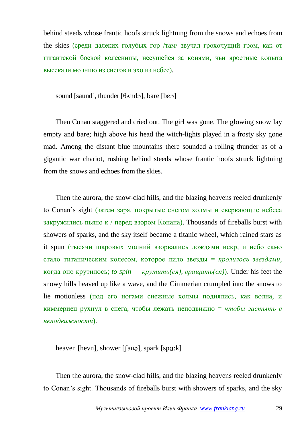behind steeds whose frantic hoofs struck lightning from the snows and echoes from the skies (среди далеких голубых гор /там/ звучал грохочущий гром, как от гигантской боевой колесницы, несущейся за конями, чьи яростные копыта высекали молнию из снегов и эхо из небес).

sound [saund], thunder [θ $\Delta$ ndə], bare [bɛə]

Then Conan staggered and cried out. The girl was gone. The glowing snow lay empty and bare; high above his head the witch-lights played in a frosty sky gone mad. Among the distant blue mountains there sounded a rolling thunder as of a gigantic war chariot, rushing behind steeds whose frantic hoofs struck lightning from the snows and echoes from the skies.

Then the aurora, the snow-clad hills, and the blazing heavens reeled drunkenly to Conan's sight (затем заря, покрытые снегом холмы и сверкающие небеса закружились пьяно к / перед взором Конана). Thousands of fireballs burst with showers of sparks, and the sky itself became a titanic wheel, which rained stars as it spun (тысячи шаровых молний взорвались дождями искр, и небо само стало титаническим колесом, которое лило звезды = *пролилось звездами*, когда оно крутилось; *to spin — крутить(ся), вращать(ся)*). Under his feet the snowy hills heaved up like a wave, and the Cimmerian crumpled into the snows to lie motionless (под его ногами снежные холмы поднялись, как волна, и киммериец рухнул в снега, чтобы лежать неподвижно = *чтобы застыть в неподвижности*).

heaven [hevn], shower  $\lceil \lceil \text{au} \rceil \rceil$ , spark  $\lceil \text{sp} \rceil$ .

Then the aurora, the snow-clad hills, and the blazing heavens reeled drunkenly to Conan's sight. Thousands of fireballs burst with showers of sparks, and the sky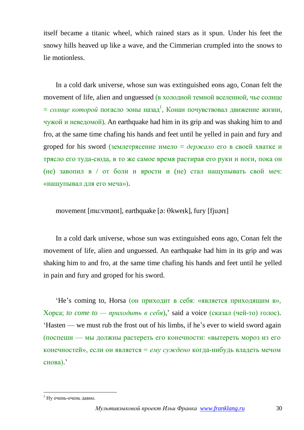itself became a titanic wheel, which rained stars as it spun. Under his feet the snowy hills heaved up like a wave, and the Cimmerian crumpled into the snows to lie motionless.

In a cold dark universe, whose sun was extinguished eons ago, Conan felt the movement of life, alien and unguessed (в холодной темной вселенной, чье солнце = *солнце которой* погасло эоны назад<sup>1</sup>, Конан почувствовал движение жизни, чужой и неведомой). An earthquake had him in its grip and was shaking him to and fro, at the same time chafing his hands and feet until he yelled in pain and fury and groped for his sword (землетрясение имело = *держало* его в своей хватке и трясло его туда-сюда, в то же самое время растирая его руки и ноги, пока он (не) завопил в / от боли и ярости и (не) стал нащупывать свой меч: «нащупывал для его меча»).

movement [mu:vm $\varphi$ nt], earthquake [ $\varphi$ :  $\theta$ kwe k], fury [fju $\varphi$ rr]

In a cold dark universe, whose sun was extinguished eons ago, Conan felt the movement of life, alien and unguessed. An earthquake had him in its grip and was shaking him to and fro, at the same time chafing his hands and feet until he yelled in pain and fury and groped for his sword.

'He's coming to, Horsa (он приходит в себя: «является приходящим в», Хорса; *to come to — приходить в себя*),' said a voice (сказал (чей-то) голос). 'Hasten — we must rub the frost out of his limbs, if he's ever to wield sword again (поспеши — мы должны растереть его конечности: «вытереть мороз из его конечностей», если он является = *ему суждено* когда-нибудь владеть мечом снова).'

1

 $1$  Ну очень-очень давно.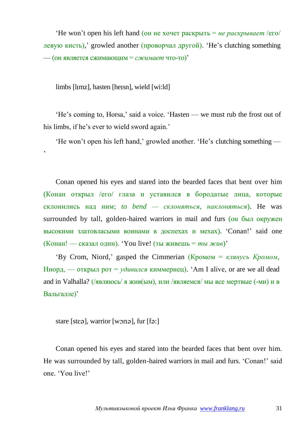'He won't open his left hand (он не хочет раскрыть = *не раскрывает* /его/ левую кисть),' growled another (проворчал другой). 'He's clutching something — (он является сжимающим = *сжимает* что-то)'

limbs [ltmz], hasten [hetsn], wield [wi:ld]

'

'He's coming to, Horsa,' said a voice. 'Hasten — we must rub the frost out of his limbs, if he's ever to wield sword again.'

'He won't open his left hand,' growled another. 'He's clutching something —

Conan opened his eyes and stared into the bearded faces that bent over him (Конан открыл /его/ глаза и уставился в бородатые лица, которые склонились над ним; *to bend — склоняться, наклоняться*). He was surrounded by tall, golden-haired warriors in mail and furs (он был окружен высокими златовласыми воинами в доспехах и мехах). 'Conan!' said one (Конан! — сказал один). 'You live! (ты живешь = *ты жив*)'

'By Crom, Niord,' gasped the Cimmerian (Кромом = *клянусь Кромом*, Ниорд, — открыл рот = *удивился* киммериец). 'Am I alive, or are we all dead and in Valhalla? (/являюсь/ я жив(ым), или /являемся/ мы все мертвые (-ми) и в Вальгалле)'

stare [st $\epsilon \partial$ ], warrior [worl $\partial$ ], fur [f $\partial$ :]

Conan opened his eyes and stared into the bearded faces that bent over him. He was surrounded by tall, golden-haired warriors in mail and furs. 'Conan!' said one. 'You live!'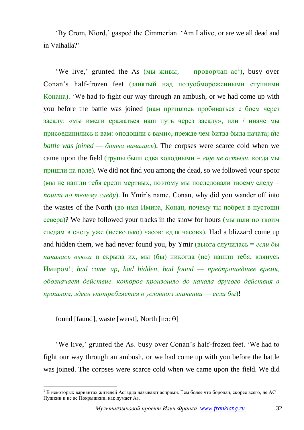'By Crom, Niord,' gasped the Cimmerian. 'Am I alive, or are we all dead and in Valhalla?'

'We live,' grunted the As (мы живы,  $-$  проворчал  $ac<sup>1</sup>$ ), busy over Conan's half-frozen feet (занятый над полуобмороженными ступнями Конана). 'We had to fight our way through an ambush, or we had come up with you before the battle was joined (нам пришлось пробиваться с боем через засаду: «мы имели сражаться наш путь через засаду», или / иначе мы присоединились к вам: «подошли с вами», прежде чем битва была начата; *the battle was joined — битва началась*). The corpses were scarce cold when we came upon the field (трупы были едва холодными = *еще не остыли*, когда мы пришли на поле). We did not find you among the dead, so we followed your spoor (мы не нашли тебя среди мертвых, поэтому мы последовали твоему следу = *пошли по твоему следу*). In Ymir's name, Conan, why did you wander off into the wastes of the North (во имя Имира, Конан, почему ты побрел в пустоши севера)? We have followed your tracks in the snow for hours (мы шли по твоим следам в снегу уже (несколько) часов: «для часов»). Had a blizzard come up and hidden them, we had never found you, by Ymir (вьюга случилась = *если бы началась вьюга* и скрыла их, мы (бы) никогда (не) нашли тебя, клянусь Имиром!; *had come up, had hidden, had found — предпрошедшее время, обозначает действие, которое произошло до начала другого действия в прошлом, здесь употребляется в условном значении — если бы*)!

found [faund], waste [we st], North  $[no: \theta]$ 

1

'We live,' grunted the As. busy over Conan's half-frozen feet. 'We had to fight our way through an ambush, or we had come up with you before the battle was joined. The corpses were scarce cold when we came upon the field. We did

 $1$  В некоторых вариантах жителей Асгарда называют асирами. Тем более что бородач, скорее всего, не АС Пушкин и не ас Покрышкин, как думает Аз.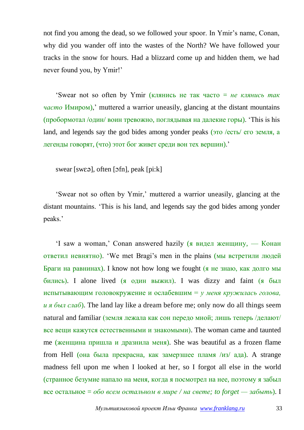not find you among the dead, so we followed your spoor. In Ymir's name, Conan, why did you wander off into the wastes of the North? We have followed your tracks in the snow for hours. Had a blizzard come up and hidden them, we had never found you, by Ymir!'

'Swear not so often by Ymir (клянись не так часто = *не клянись так часто* Имиром),' muttered a warrior uneasily, glancing at the distant mountains (пробормотал /один/ воин тревожно, поглядывая на далекие горы). 'This is his land, and legends say the god bides among yonder peaks (это /есть/ его земля, а легенды говорят, (что) этот бог живет среди вон тех вершин).'

swear [sw $\epsilon$ a], often [ $\delta$ fn], peak [ $pi: k$ ]

'Swear not so often by Ymir,' muttered a warrior uneasily, glancing at the distant mountains. 'This is his land, and legends say the god bides among yonder peaks.'

'I saw a woman,' Conan answered hazily (я видел женщину, — Конан ответил невнятно). 'We met Bragi's men in the plains (мы встретили людей Браги на равнинах). I know not how long we fought  $(a$  не знаю, как долго мы бились). I alone lived (я один выжил). I was dizzy and faint (я был испытывающим головокружение и ослабевшим = *у меня кружилась голова, и я был слаб*). The land lay like a dream before me; only now do all things seem natural and familiar (земля лежала как сон передо мной; лишь теперь /делают/ все вещи кажутся естественными и знакомыми). The woman came and taunted me (женщина пришла и дразнила меня). She was beautiful as a frozen flame from Hell (она была прекрасна, как замерзшее пламя /из/ ада). A strange madness fell upon me when I looked at her, so I forgot all else in the world (странное безумие напало на меня, когда я посмотрел на нее, поэтому я забыл все остальное = *обо всем остальном в мире / на свете; to forget — забыть*). I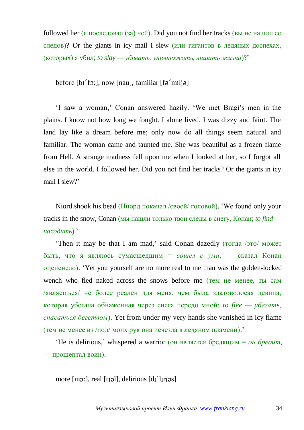followed her (я последовал (за) ней). Did you not find her tracks (вы не нашли ее следов)? Or the giants in icy mail I slew (или гигантов в ледяных доспехах, (которых) я убил; *to slay — убивать, уничтожать, лишать жизни*)?'

before  $[bi' f$ :  $], now [nau], familiar [f<sub>0</sub>' mul<sub>i</sub>]=]$ 

'I saw a woman,' Conan answered hazily. 'We met Bragi's men in the plains. I know not how long we fought. I alone lived. I was dizzy and faint. The land lay like a dream before me; only now do all things seem natural and familiar. The woman came and taunted me. She was beautiful as a frozen flame from Hell. A strange madness fell upon me when I looked at her, so I forgot all else in the world. I followed her. Did you not find her tracks? Or the giants in icy mail I slew?'

Niord shook his bead (Ниорд покачал /своей/ головой). 'We found only your tracks in the snow, Conan (мы нашли только твои следы в снегу, Конан; *to find находить*).'

'Then it may be that I am mad,' said Conan dazedly (тогда /это/ может быть, что я являюсь сумасшедшим = *сошел с ума*, — сказал Конан оцепенело). 'Yet you yourself are no more real to me than was the golden-locked wench who fled naked across the snows before me (тем не менее, ты сам /являешься/ не более реален для меня, чем была златоволосая девица, которая убегала обнаженная через снега передо мной; *to flee — убегать, спасаться бегством*). Yet from under my very hands she vanished in icy flame (тем не менее из /под/ моих рук она исчезла в ледяном пламени).'

'He is delirious,' whispered a warrior (он является бредящим = *он бредит*, — прошептал воин).

more  $[m2.]$ , real  $[r13]$ , delirious  $[d1'Irr3s]$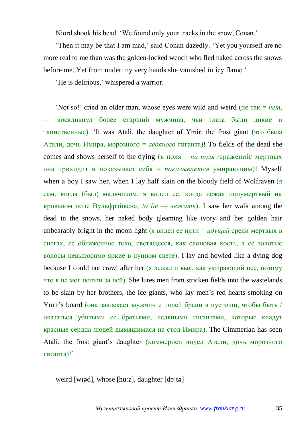Niord shook his bead. 'We found only your tracks in the snow, Conan.'

'Then it may be that I am mad,' said Conan dazedly. 'Yet you yourself are no more real to me than was the golden-locked wench who fled naked across the snows before me. Yet from under my very hands she vanished in icy flame.'

'He is delirious,' whispered a warrior.

'Not so!' cried an older man, whose eyes were wild and weird (не так = *нет*, — воскликнул более старший мужчина, чьи глаза были дикие и таинственные). 'It was Atali, the daughter of Ymir, the frost giant (это была Атали, дочь Имира, морозного = *ледяного* гиганта)! To fields of the dead she comes and shows herself to the dying (в поля = *на поля* /сражений/ мертвых она приходит и показывает себя = *показывается* умирающим)! Myself when a boy I saw her, when I lay half slain on the bloody field of Wolfraven (я сам, когда (был) мальчиком, я видел ее, когда лежал полумертвый на кровавом поле Вульфрэйвена; *to lie — лежать*). I saw her walk among the dead in the snows, her naked body gleaming like ivory and her golden hair unbearably bright in the moon light (я видел ее идти =  $u\partial yu e\tilde{u}$  среди мертвых в снегах, ее обнаженное тело, светящееся, как слоновая кость, а ее золотые волосы невыносимо яркие в лунном свете). I lay and howled like a dying dog because I could not crawl after her (я лежал и выл, как умирающий пес, потому что я не мог ползти за ней). She lures men from stricken fields into the wastelands to be slain by her brothers, the ice giants, who lay men's red hearts smoking on Ymir's board (она завлекает мужчин с полей брани в пустоши, чтобы быть / оказаться убитыми ее братьями, ледяными гигантами, которые кладут красные сердца людей дымящимися на стол Имира). The Cimmerian has seen Atali, the frost giant's daughter (киммериец видел Атали, дочь морозного гиганта)!'

weird [w $19d$ ], whose [hu:z], daughter  $[d \cdot 16]$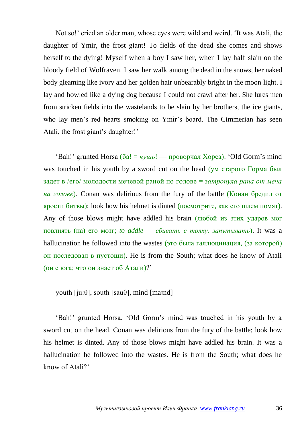Not so!' cried an older man, whose eyes were wild and weird. 'It was Atali, the daughter of Ymir, the frost giant! To fields of the dead she comes and shows herself to the dying! Myself when a boy I saw her, when I lay half slain on the bloody field of Wolfraven. I saw her walk among the dead in the snows, her naked body gleaming like ivory and her golden hair unbearably bright in the moon light. I lay and howled like a dying dog because I could not crawl after her. She lures men from stricken fields into the wastelands to be slain by her brothers, the ice giants, who lay men's red hearts smoking on Ymir's board. The Cimmerian has seen Atali, the frost giant's daughter!'

'Bah!' grunted Horsa (ба! = *чушь*! — проворчал Хорса). 'Old Gorm's mind was touched in his youth by a sword cut on the head (ум старого Горма был задет в /его/ молодости мечевой раной по голове = *затронула рана от меча на голове*). Conan was delirious from the fury of the battle (Конан бредил от ярости битвы); look how his helmet is dinted (посмотрите, как его шлем помят). Any of those blows might have addled his brain (любой из этих ударов мог повлиять (на) его мозг; *to addle — сбивать с толку, запутывать*). It was a hallucination he followed into the wastes (это была галлюцинация, (за которой) он последовал в пустоши). He is from the South; what does he know of Atali (он с юга; что он знает об Атали)?'

youth [ju:θ], south [sauθ], mind [maind]

'Bah!' grunted Horsa. 'Old Gorm's mind was touched in his youth by a sword cut on the head. Conan was delirious from the fury of the battle; look how his helmet is dinted. Any of those blows might have addled his brain. It was a hallucination he followed into the wastes. He is from the South; what does he know of Atali?'